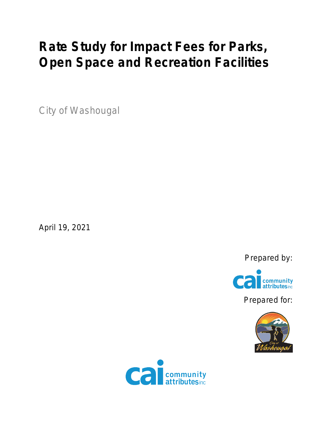# **Rate Study for Impact Fees for Parks, Open Space and Recreation Facilities**

City of Washougal

April 19, 2021

Prepared by:



Prepared for:



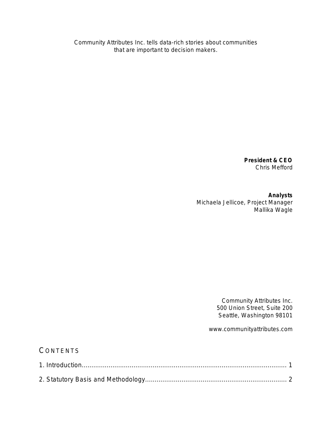*Community Attributes Inc. tells data-rich stories about communities that are important to decision makers.*

> **President & CEO** Chris Mefford

**Analysts** Michaela Jellicoe, Project Manager Mallika Wagle

> Community Attributes Inc. 500 Union Street, Suite 200 Seattle, Washington 98101

www.communityattributes.com

# **CONTENTS**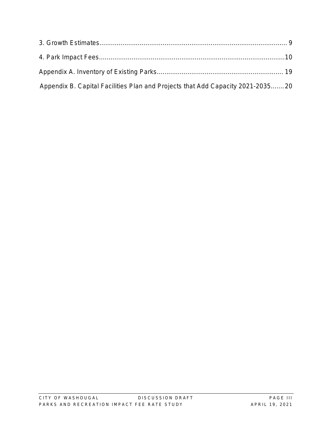| Appendix B. Capital Facilities Plan and Projects that Add Capacity 2021-2035 20 |  |
|---------------------------------------------------------------------------------|--|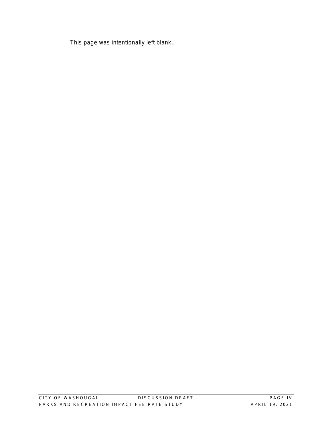*This page was intentionally left blank.*.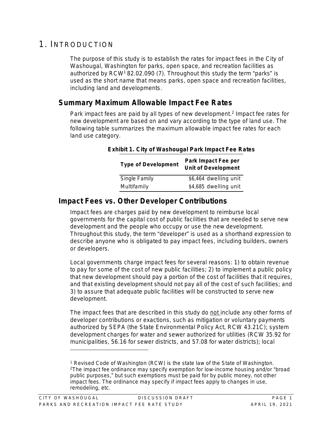# <span id="page-4-0"></span>1. INTRODUCTION

The purpose of this study is to establish the rates for impact fees in the City of Washougal, Washington for parks, open space, and recreation facilities as authorized by RCW<sup>1</sup> 82.02.090 (7). Throughout this study the term "parks" is used as the short name that means parks, open space and recreation facilities, including land and developments.

# **Summary Maximum Allowable Impact Fee Rates**

Park impact fees are paid by all types of new development. 2 Impact fee rates for new development are based on and vary according to the type of land use. The following table summarizes the maximum allowable impact fee rates for each land use category.

| <b>Type of Development</b> | Park Impact Fee per<br><b>Unit of Development</b> |  |  |  |  |
|----------------------------|---------------------------------------------------|--|--|--|--|
| Single Family              | \$6,464 dwelling unit                             |  |  |  |  |
| Multifamily                | \$4,685 dwelling unit                             |  |  |  |  |

#### **Exhibit 1. City of Washougal Park Impact Fee Rates**

# **Impact Fees vs. Other Developer Contributions**

Impact fees are charges paid by new development to reimburse local governments for the capital cost of public facilities that are needed to serve new development and the people who occupy or use the new development. Throughout this study, the term "developer" is used as a shorthand expression to describe anyone who is obligated to pay impact fees, including builders, owners or developers.

Local governments charge impact fees for several reasons: 1) to obtain revenue to pay for some of the cost of new public facilities; 2) to implement a public policy that new development should pay a portion of the cost of facilities that it requires, and that existing development should not pay all of the cost of such facilities; and 3) to assure that adequate public facilities will be constructed to serve new development.

The impact fees that are described in this study do not include any other forms of developer contributions or exactions, such as mitigation or voluntary payments authorized by SEPA (the State Environmental Policy Act, RCW 43.21C); system development charges for water and sewer authorized for utilities (RCW 35.92 for municipalities, 56.16 for sewer districts, and 57.08 for water districts); local

<sup>1</sup> Revised Code of Washington (RCW) is the state law of the State of Washington. <sup>2</sup>The impact fee ordinance may specify exemption for low-income housing and/or "broad public purposes," but such exemptions must be paid for by public money, not other impact fees. The ordinance may specify if impact fees apply to changes in use, remodeling, etc.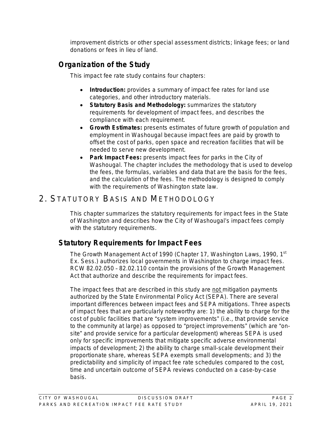improvement districts or other special assessment districts; linkage fees; or land donations or fees in lieu of land.

# **Organization of the Study**

This impact fee rate study contains four chapters:

- **Introduction:** provides a summary of impact fee rates for land use categories, and other introductory materials.
- **Statutory Basis and Methodology:** summarizes the statutory requirements for development of impact fees, and describes the compliance with each requirement.
- **Growth Estimates:** presents estimates of future growth of population and employment in Washougal because impact fees are paid by growth to offset the cost of parks, open space and recreation facilities that will be needed to serve new development.
- **Park Impact Fees:** presents impact fees for parks in the City of Washougal. The chapter includes the methodology that is used to develop the fees, the formulas, variables and data that are the basis for the fees, and the calculation of the fees. The methodology is designed to comply with the requirements of Washington state law.

# <span id="page-5-0"></span>2. STATUTORY BASIS AND METHODOLOGY

This chapter summarizes the statutory requirements for impact fees in the State of Washington and describes how the City of Washougal's impact fees comply with the statutory requirements.

# **Statutory Requirements for Impact Fees**

The Growth Management Act of 1990 (Chapter 17, Washington Laws, 1990, 1<sup>st</sup> Ex. Sess.) authorizes local governments in Washington to charge impact fees. RCW 82.02.050 – 82.02.110 contain the provisions of the Growth Management Act that authorize and describe the requirements for impact fees.

The impact fees that are described in this study are not mitigation payments authorized by the State Environmental Policy Act (SEPA). There are several important differences between impact fees and SEPA mitigations. Three aspects of impact fees that are particularly noteworthy are: 1) the ability to charge for the cost of public facilities that are "system improvements" (i.e., that provide service to the community at large) as opposed to "project improvements" (which are "onsite" and provide service for a particular development) whereas SEPA is used only for specific improvements that mitigate specific adverse environmental impacts of development; 2) the ability to charge small-scale development their proportionate share, whereas SEPA exempts small developments; and 3) the predictability and simplicity of impact fee rate schedules compared to the cost, time and uncertain outcome of SEPA reviews conducted on a case-by-case basis.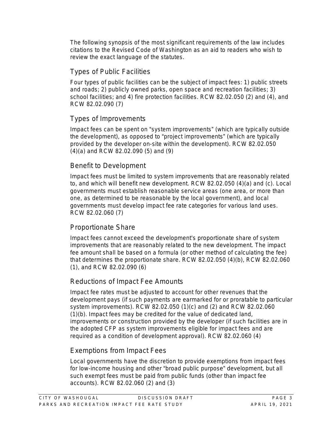The following synopsis of the most significant requirements of the law includes citations to the Revised Code of Washington as an aid to readers who wish to review the exact language of the statutes.

#### Types of Public Facilities

Four types of public facilities can be the subject of impact fees: 1) public streets and roads; 2) publicly owned parks, open space and recreation facilities; 3) school facilities; and 4) fire protection facilities. *RCW 82.02.050 (2) and (4), and RCW 82.02.090 (7)*

#### Types of Improvements

Impact fees can be spent on "system improvements" (which are typically outside the development), as opposed to "project improvements" (which are typically provided by the developer on-site within the development). *RCW 82.02.050 (4)(a) and RCW 82.02.090 (5) and (9)*

#### Benefit to Development

Impact fees must be limited to system improvements that are reasonably related to, and which will benefit new development. *RCW 82.02.050 (4)(a) and (c).* Local governments must establish reasonable service areas (one area, or more than one, as determined to be reasonable by the local government), and local governments must develop impact fee rate categories for various land uses. *RCW 82.02.060 (7)*

#### Proportionate Share

Impact fees cannot exceed the development's proportionate share of system improvements that are reasonably related to the new development. The impact fee amount shall be based on a formula (or other method of calculating the fee) that determines the proportionate share. *RCW 82.02.050 (4)(b), RCW 82.02.060 (1), and RCW 82.02.090 (6)*

#### Reductions of Impact Fee Amounts

Impact fee rates must be adjusted to account for other revenues that the development pays (if such payments are earmarked for or proratable to particular system improvements). *RCW 82.02.050 (1)(c) and (2) and RCW 82.02.060 (1)(b)*. Impact fees may be credited for the value of dedicated land, improvements or construction provided by the developer (if such facilities are in the adopted CFP as system improvements eligible for impact fees and are required as a condition of development approval). *RCW 82.02.060 (4)*

#### Exemptions from Impact Fees

Local governments have the discretion to provide exemptions from impact fees for low-income housing and other "broad public purpose" development, but all such exempt fees must be paid from public funds (other than impact fee accounts). *RCW 82.02.060 (2) and (3)*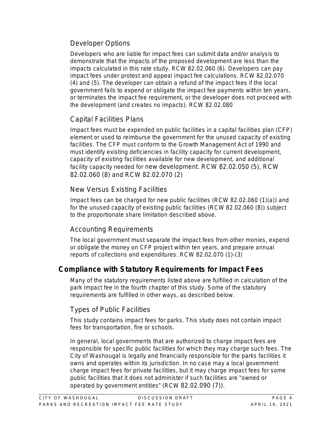#### Developer Options

Developers who are liable for impact fees can submit data and/or analysis to demonstrate that the impacts of the proposed development are less than the impacts calculated in this rate study. *RCW 82.02.060 (6)*. Developers can pay impact fees under protest and appeal impact fee calculations. *RCW 82.02.070 (4) and (5).* The developer can obtain a refund of the impact fees if the local government fails to expend or obligate the impact fee payments within ten years, or terminates the impact fee requirement, or the developer does not proceed with the development (and creates no impacts). *RCW 82.02.080*

### Capital Facilities Plans

Impact fees must be expended on public facilities in a capital facilities plan (CFP) element or used to reimburse the government for the unused capacity of existing facilities. The CFP must conform to the Growth Management Act of 1990 and must identify existing deficiencies in facility capacity for current development, capacity of existing facilities available for new development, and additional facility capacity needed for new development. *RCW 82.02.050 (5), RCW 82.02.060 (8) and RCW 82.02.070 (2)*

#### New Versus Existing Facilities

Impact fees can be charged for new public facilities *(RCW 82.02.060 (1)(a))* and for the unused capacity of existing public facilities *(RCW 82.02.060 (8))* subject to the proportionate share limitation described above.

# Accounting Requirements

The local government must separate the impact fees from other monies, expend or obligate the money on CFP project within ten years, and prepare annual reports of collections and expenditures. *RCW 82.02.070 (1)-(3)*

# **Compliance with Statutory Requirements for Impact Fees**

Many of the statutory requirements listed above are fulfilled in calculation of the park impact fee in the fourth chapter of this study. Some of the statutory requirements are fulfilled in other ways, as described below.

### Types of Public Facilities

This study contains impact fees for parks. This study does not contain impact fees for transportation, fire or schools.

In general, local governments that are authorized to charge impact fees are responsible for specific public facilities for which they may charge such fees. The City of Washougal is legally and financially responsible for the parks facilities it owns and operates within its jurisdiction. In no case may a local government charge impact fees for private facilities, but it may charge impact fees for some public facilities that it does not administer if such facilities are "owned or operated by government entities" *(RCW 82.02.090 (7))*.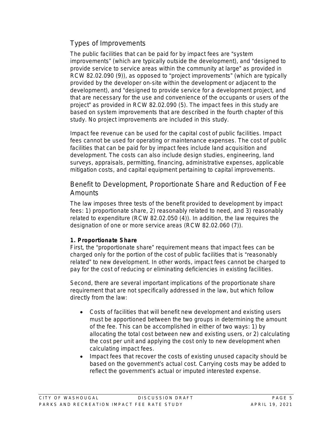#### Types of Improvements

The public facilities that can be paid for by impact fees are "system improvements" (which are typically outside the development), and "designed to provide service to service areas within the community at large" as provided in RCW 82.02.090 (9)), as opposed to "project improvements" (which are typically provided by the developer on-site within the development or adjacent to the development), and "designed to provide service for a development project, and that are necessary for the use and convenience of the occupants or users of the project" as provided in RCW 82.02.090 (5). The impact fees in this study are based on system improvements that are described in the fourth chapter of this study. No project improvements are included in this study.

Impact fee revenue can be used for the capital cost of public facilities. Impact fees cannot be used for operating or maintenance expenses. The cost of public facilities that can be paid for by impact fees include land acquisition and development. The costs can also include design studies, engineering, land surveys, appraisals, permitting, financing, administrative expenses, applicable mitigation costs, and capital equipment pertaining to capital improvements.

Benefit to Development, Proportionate Share and Reduction of Fee Amounts

The law imposes three tests of the benefit provided to development by impact fees: 1) proportionate share, 2) reasonably related to need, and 3) reasonably related to expenditure *(RCW 82.02.050 (4)).* In addition, the law requires the designation of one or more service areas *(RCW 82.02.060 (7)).*

#### **1. Proportionate Share**

First, the "proportionate share" requirement means that impact fees can be charged only for the portion of the cost of public facilities that is "reasonably related" to new development. In other words, impact fees cannot be charged to pay for the cost of reducing or eliminating deficiencies in existing facilities.

Second, there are several important implications of the proportionate share requirement that are not specifically addressed in the law, but which follow directly from the law:

- Costs of facilities that will benefit new development and existing users must be apportioned between the two groups in determining the amount of the fee. This can be accomplished in either of two ways: 1) by allocating the total cost between new and existing users, or 2) calculating the cost per unit and applying the cost only to new development when calculating impact fees.
- Impact fees that recover the costs of existing unused capacity should be based on the government's actual cost. Carrying costs may be added to reflect the government's actual or imputed interested expense.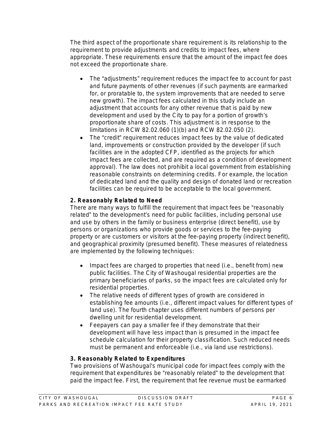The third aspect of the proportionate share requirement is its relationship to the requirement to provide adjustments and credits to impact fees, where appropriate. These requirements ensure that the amount of the impact fee does not exceed the proportionate share.

- The "adjustments" requirement reduces the impact fee to account for past and future payments of other revenues (if such payments are earmarked for, or proratable to, the system improvements that are needed to serve new growth). The impact fees calculated in this study include an adjustment that accounts for any other revenue that is paid by new development and used by the City to pay for a portion of growth's proportionate share of costs. This adjustment is in response to the limitations in RCW 82.02.060 (1)(b) and RCW 82.02.050 (2).
- The "credit" requirement reduces impact fees by the value of dedicated land, improvements or construction provided by the developer (if such facilities are in the adopted CFP, identified as the projects for which impact fees are collected, and are required as a condition of development approval). The law does not prohibit a local government from establishing reasonable constraints on determining credits. For example, the location of dedicated land and the quality and design of donated land or recreation facilities can be required to be acceptable to the local government.

#### **2. Reasonably Related to Need**

There are many ways to fulfill the requirement that impact fees be "reasonably related" to the development's need for public facilities, including personal use and use by others in the family or business enterprise (direct benefit), use by persons or organizations who provide goods or services to the fee-paying property or are customers or visitors at the fee-paying property (indirect benefit), and geographical proximity (presumed benefit). These measures of relatedness are implemented by the following techniques:

- Impact fees are charged to properties that need (i.e., benefit from) new public facilities. The City of Washougal residential properties are the primary beneficiaries of parks, so the impact fees are calculated only for residential properties.
- The relative needs of different types of growth are considered in establishing fee amounts (i.e., different impact values for different types of land use). The fourth chapter uses different numbers of persons per dwelling unit for residential development.
- Feepayers can pay a smaller fee if they demonstrate that their development will have less impact than is presumed in the impact fee schedule calculation for their property classification. Such reduced needs must be permanent and enforceable (i.e., via land use restrictions).

#### **3. Reasonably Related to Expenditures**

Two provisions of Washougal's municipal code for impact fees comply with the requirement that expenditures be "reasonably related" to the development that paid the impact fee. First, the requirement that fee revenue must be earmarked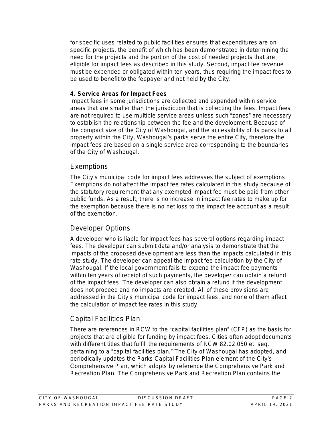for specific uses related to public facilities ensures that expenditures are on specific projects, the benefit of which has been demonstrated in determining the need for the projects and the portion of the cost of needed projects that are eligible for impact fees as described in this study. Second, impact fee revenue must be expended or obligated within ten years, thus requiring the impact fees to be used to benefit to the feepayer and not held by the City.

#### **4. Service Areas for Impact Fees**

Impact fees in some jurisdictions are collected and expended within service areas that are smaller than the jurisdiction that is collecting the fees. Impact fees are not required to use multiple service areas unless such "zones" are necessary to establish the relationship between the fee and the development. Because of the compact size of the City of Washougal, and the accessibility of its parks to all property within the City, Washougal's parks serve the entire City, therefore the impact fees are based on a single service area corresponding to the boundaries of the City of Washougal.

#### Exemptions

The City's municipal code for impact fees addresses the subject of exemptions. Exemptions do not affect the impact fee rates calculated in this study because of the statutory requirement that any exempted impact fee must be paid from other public funds. As a result, there is no increase in impact fee rates to make up for the exemption because there is no net loss to the impact fee account as a result of the exemption.

#### Developer Options

A developer who is liable for impact fees has several options regarding impact fees. The developer can submit data and/or analysis to demonstrate that the impacts of the proposed development are less than the impacts calculated in this rate study. The developer can appeal the impact fee calculation by the City of Washougal. If the local government fails to expend the impact fee payments within ten years of receipt of such payments, the developer can obtain a refund of the impact fees. The developer can also obtain a refund if the development does not proceed and no impacts are created. All of these provisions are addressed in the City's municipal code for impact fees, and none of them affect the calculation of impact fee rates in this study.

#### Capital Facilities Plan

There are references in RCW to the "capital facilities plan" (CFP) as the basis for projects that are eligible for funding by impact fees. Cities often adopt documents with different titles that fulfill the requirements of RCW 82.02.050 et. seq. pertaining to a "capital facilities plan." The City of Washougal has adopted, and periodically updates the Parks Capital Facilities Plan element of the City's Comprehensive Plan, which adopts by reference the Comprehensive Park and Recreation Plan. The Comprehensive Park and Recreation Plan contains the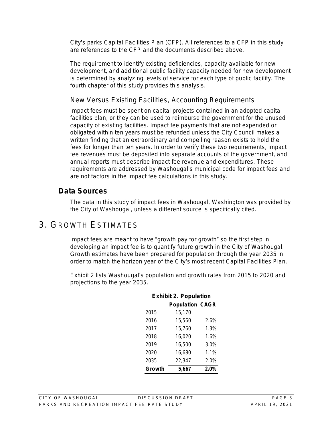City's parks Capital Facilities Plan (CFP). All references to a CFP in this study are references to the CFP and the documents described above.

The requirement to identify existing deficiencies, capacity available for new development, and additional public facility capacity needed for new development is determined by analyzing levels of service for each type of public facility. The fourth chapter of this study provides this analysis.

#### New Versus Existing Facilities, Accounting Requirements

Impact fees must be spent on capital projects contained in an adopted capital facilities plan, or they can be used to reimburse the government for the unused capacity of existing facilities. Impact fee payments that are not expended or obligated within ten years must be refunded unless the City Council makes a written finding that an extraordinary and compelling reason exists to hold the fees for longer than ten years. In order to verify these two requirements, impact fee revenues must be deposited into separate accounts of the government, and annual reports must describe impact fee revenue and expenditures. These requirements are addressed by Washougal's municipal code for impact fees and are not factors in the impact fee calculations in this study.

# **Data Sources**

The data in this study of impact fees in Washougal, Washington was provided by the City of Washougal, unless a different source is specifically cited.

# <span id="page-11-0"></span>3. GROWTH ESTIMATES

Impact fees are meant to have "growth pay for growth" so the first step in developing an impact fee is to quantify future growth in the City of Washougal. Growth estimates have been prepared for population through the year 2035 in order to match the horizon year of the City's most recent Capital Facilities Plan.

[Exhibit](#page-11-1) [2](#page-11-1) lists Washougal's population and growth rates from 2015 to 2020 and projections to the year 2035.

<span id="page-11-1"></span>

| <b>Exhibit 2. Population</b> |                        |      |  |  |  |  |  |
|------------------------------|------------------------|------|--|--|--|--|--|
|                              | <b>Population CAGR</b> |      |  |  |  |  |  |
| 2015                         | 15,170                 |      |  |  |  |  |  |
| 2016                         | 15,560                 | 2.6% |  |  |  |  |  |
| 2017                         | 15,760                 | 1.3% |  |  |  |  |  |
| 2018                         | 16,020                 | 1.6% |  |  |  |  |  |
| 2019                         | 16,500                 | 3.0% |  |  |  |  |  |
| 2020                         | 16,680                 | 1.1% |  |  |  |  |  |
| 2035                         | 22,347                 | 2.0% |  |  |  |  |  |
| Growth                       | 5,667                  | 2.0% |  |  |  |  |  |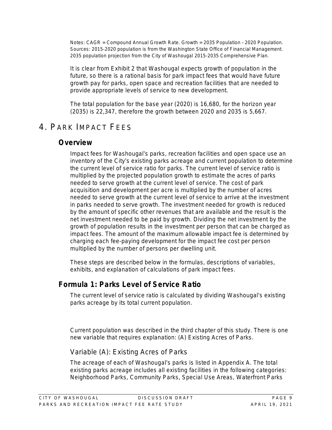*Notes: CAGR = Compound Annual Growth Rate. Growth = 2035 Population* – *2020 Population. Sources: 2015-2020 population is from the Washington State Office of Financial Management. 2035 population projection from the City of Washougal 2015-2035 Comprehensive Plan.*

It is clear from Exhibit 2 that Washougal expects growth of population in the future, so there is a rational basis for park impact fees that would have future growth pay for parks, open space and recreation facilities that are needed to provide appropriate levels of service to new development.

The total population for the base year (2020) is 16,680, for the horizon year (2035) is 22,347, therefore the growth between 2020 and 2035 is 5,667.

# <span id="page-12-0"></span>4. PARK IMPACT FEES

#### **Overview**

Impact fees for Washougal's parks, recreation facilities and open space use an inventory of the City's existing parks acreage and current population to determine the current level of service ratio for parks. The current level of service ratio is multiplied by the projected population growth to estimate the acres of parks needed to serve growth at the current level of service. The cost of park acquisition and development per acre is multiplied by the number of acres needed to serve growth at the current level of service to arrive at the investment in parks needed to serve growth. The investment needed for growth is reduced by the amount of specific other revenues that are available and the result is the net investment needed to be paid by growth. Dividing the net investment by the growth of population results in the investment per person that can be charged as impact fees. The amount of the maximum allowable impact fee is determined by charging each fee-paying development for the impact fee cost per person multiplied by the number of persons per dwelling unit.

These steps are described below in the formulas, descriptions of variables, exhibits, and explanation of calculations of park impact fees.

# **Formula 1: Parks Level of Service Ratio**

The current level of service ratio is calculated by dividing Washougal's existing parks acreage by its total current population.

Current population was described in the third chapter of this study. There is one new variable that requires explanation: (A) Existing Acres of Parks.

Variable (A): Existing Acres of Parks

The acreage of each of Washougal's parks is listed in Appendix A. The total existing parks acreage includes all existing facilities in the following categories: Neighborhood Parks, Community Parks, Special Use Areas, Waterfront Parks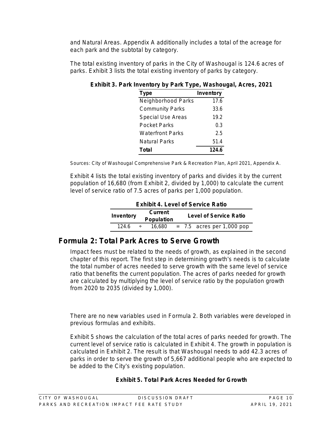and Natural Areas. Appendix A additionally includes a total of the acreage for each park and the subtotal by category.

The total existing inventory of parks in the City of Washougal is 124.6 acres of parks. [Exhibit](#page-13-0) [3](#page-13-0) lists the total existing inventory of parks by category.

| <b>Type</b>             | Inventory |
|-------------------------|-----------|
| Neighborhood Parks      | 17.6      |
| <b>Community Parks</b>  | 33.6      |
| Special Use Areas       | 19.2      |
| Pocket Parks            | 0.3       |
| <b>Waterfront Parks</b> | 2.5       |
| Natural Parks           | 51.4      |
| Total                   | 124.6     |

#### <span id="page-13-0"></span>**Exhibit 3. Park Inventory by Park Type, Washougal, Acres, 2021**

*Sources: City of Washougal Comprehensive Park & Recreation Plan, April 2021, Appendix A.*

[Exhibit](#page-13-1) [4](#page-13-1) lists the total existing inventory of parks and divides it by the current population of 16,680 (from Exhibit 2, divided by 1,000) to calculate the current level of service ratio of 7.5 acres of parks per 1,000 population.

<span id="page-13-1"></span>**Exhibit 4. Level of Service Ratio**

| Inventory |        | Current<br>Population |  | <b>Level of Service Ratio</b> |
|-----------|--------|-----------------------|--|-------------------------------|
| 124.6     | $\div$ | 16,680                |  | $= 7.5$ acres per 1,000 pop   |

### **Formula 2: Total Park Acres to Serve Growth**

Impact fees must be related to the needs of growth, as explained in the second chapter of this report. The first step in determining growth's needs is to calculate the total number of acres needed to serve growth with the same level of service ratio that benefits the current population. The acres of parks needed for growth are calculated by multiplying the level of service ratio by the population growth from 2020 to 2035 (divided by 1,000).

There are no new variables used in Formula 2. Both variables were developed in previous formulas and exhibits.

[Exhibit](#page-13-2) [5](#page-13-2) shows the calculation of the total acres of parks needed for growth. The current level of service ratio is calculated in Exhibit 4. The growth in population is calculated in Exhibit 2. The result is that Washougal needs to add 42.3 acres of parks in order to serve the growth of 5,667 additional people who are expected to be added to the City's existing population.

#### <span id="page-13-2"></span>**Exhibit 5. Total Park Acres Needed for Growth**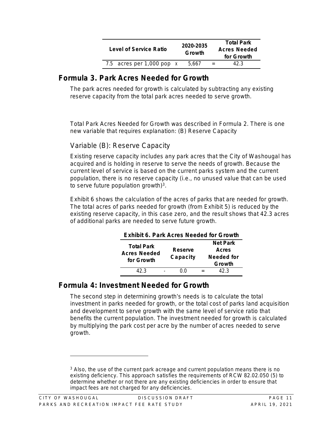| 7.5 acres per 1,000 pop x<br>42 Z<br>5.667<br>$=$ | Level of Service Ratio | 2020-2035<br>Growth | <b>Total Park</b><br><b>Acres Needed</b><br>for Growth |
|---------------------------------------------------|------------------------|---------------------|--------------------------------------------------------|
|                                                   |                        |                     |                                                        |

# **Formula 3. Park Acres Needed for Growth**

The park acres needed for growth is calculated by subtracting any existing reserve capacity from the total park acres needed to serve growth.

Total Park Acres Needed for Growth was described in Formula 2. There is one new variable that requires explanation: (B) Reserve Capacity

#### Variable (B): Reserve Capacity

Existing reserve capacity includes any park acres that the City of Washougal has acquired and is holding in reserve to serve the needs of growth. Because the current level of service is based on the current parks system and the current population, there is no reserve capacity (i.e., no unused value that can be used to serve future population growth)<sup>3</sup>.

[Exhibit](#page-14-0) [6](#page-14-0) shows the calculation of the acres of parks that are needed for growth. The total acres of parks needed for growth (from Exhibit 5) is reduced by the existing reserve capacity, in this case zero, and the result shows that 42.3 acres of additional parks are needed to serve future growth.

<span id="page-14-0"></span>

|                                          | <b>Exhibit 6. Park Acres Needed for Growth</b> |  |                          |  |  |  |
|------------------------------------------|------------------------------------------------|--|--------------------------|--|--|--|
| <b>Total Park</b><br><b>Acres Needed</b> | Reserve                                        |  | <b>Net Park</b><br>Acres |  |  |  |
| for Growth                               | Capacity                                       |  | Needed for<br>Growth     |  |  |  |
| 423                                      | n n                                            |  | 423                      |  |  |  |

### **Formula 4: Investment Needed for Growth**

The second step in determining growth's needs is to calculate the total investment in parks needed for growth, or the total cost of parks land acquisition and development to serve growth with the same level of service ratio that benefits the current population. The investment needed for growth is calculated by multiplying the park cost per acre by the number of acres needed to serve growth.

<sup>3</sup> Also, the use of the current park acreage and current population means there is no existing deficiency. This approach satisfies the requirements of RCW 82.02.050 (5) to determine whether or not there are any existing deficiencies in order to ensure that impact fees are not charged for any deficiencies.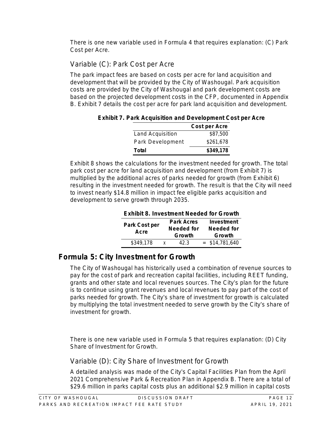There is one new variable used in Formula 4 that requires explanation: (C) Park Cost per Acre.

# Variable (C): Park Cost per Acre

The park impact fees are based on costs per acre for land acquisition and development that will be provided by the City of Washougal. Park acquisition costs are provided by the City of Washougal and park development costs are based on the projected development costs in the CFP, documented in Appendix B. [Exhibit](#page-15-0) [7](#page-15-0) details the cost per acre for park land acquisition and development.

**Cost per Acre** Land Acquisition \$87,500 Park Development \$261,678 **Total \$349,178**

<span id="page-15-0"></span>**Exhibit 7. Park Acquisition and Development Cost per Acre**

[Exhibit](#page-15-1) [8](#page-15-1) shows the calculations for the investment needed for growth. The total park cost per acre for land acquisition and development (from Exhibit 7) is multiplied by the additional acres of parks needed for growth (from Exhibit 6) resulting in the investment needed for growth. The result is that the City will need to invest nearly \$14.8 million in impact fee eligible parks acquisition and development to serve growth through 2035.

<span id="page-15-1"></span>

|               |   |                   | <b>Exhibit 8. Investment Needed for Growth</b> |  |  |
|---------------|---|-------------------|------------------------------------------------|--|--|
| Park Cost per |   | <b>Park Acres</b> | Investment<br>Needed for                       |  |  |
| Acre          |   | Needed for        |                                                |  |  |
|               |   | Growth            | Growth                                         |  |  |
| \$349,178     | X | 423               | $=$ \$14,781,640                               |  |  |

# **Formula 5: City Investment for Growth**

The City of Washougal has historically used a combination of revenue sources to pay for the cost of park and recreation capital facilities, including REET funding, grants and other state and local revenues sources. The City's plan for the future is to continue using grant revenues and local revenues to pay part of the cost of parks needed for growth. The City's share of investment for growth is calculated by multiplying the total investment needed to serve growth by the City's share of investment for growth.

There is one new variable used in Formula 5 that requires explanation: (D) City Share of Investment for Growth.

Variable (D): City Share of Investment for Growth

A detailed analysis was made of the City's Capital Facilities Plan from the April 2021 Comprehensive Park & Recreation Plan in Appendix B. There are a total of \$29.6 million in parks capital costs plus an additional \$2.9 million in capital costs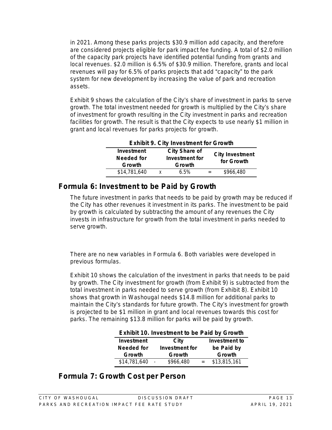in 2021. Among these parks projects \$30.9 million add capacity, and therefore are considered projects eligible for park impact fee funding. A total of \$2.0 million of the capacity park projects have identified potential funding from grants and local revenues. \$2.0 million is 6.5% of \$30.9 million. Therefore, grants and local revenues will pay for 6.5% of parks projects that add "capacity" to the park system for new development by increasing the value of park and recreation assets.

[Exhibit](#page-16-0) [9](#page-16-0) shows the calculation of the City's share of investment in parks to serve growth. The total investment needed for growth is multiplied by the City's share of investment for growth resulting in the City investment in parks and recreation facilities for growth. The result is that the City expects to use nearly \$1 million in grant and local revenues for parks projects for growth.

<span id="page-16-0"></span>

|                          |   | Exhibit 9. City Investment for Growth         |                                      |
|--------------------------|---|-----------------------------------------------|--------------------------------------|
| Investment<br>Needed for |   | <b>City Share of</b><br><b>Investment</b> for | <b>City Investment</b><br>for Growth |
| Growth                   |   | Growth                                        |                                      |
| \$14,781,640             | X | 6.5%                                          | \$966,480                            |

# **Formula 6: Investment to be Paid by Growth**

The future investment in parks that needs to be paid by growth may be reduced if the City has other revenues it investment in its parks. The investment to be paid by growth is calculated by subtracting the amount of any revenues the City invests in infrastructure for growth from the total investment in parks needed to serve growth.

There are no new variables in Formula 6. Both variables were developed in previous formulas.

[Exhibit](#page-16-1) [10](#page-16-1) shows the calculation of the investment in parks that needs to be paid by growth. The City investment for growth (from Exhibit 9) is subtracted from the total investment in parks needed to serve growth (from Exhibit 8). [Exhibit](#page-16-1) [10](#page-16-1) shows that growth in Washougal needs \$14.8 million for additional parks to maintain the City's standards for future growth. The City's investment for growth is projected to be \$1 million in grant and local revenues towards this cost for parks. The remaining \$13.8 million for parks will be paid by growth.

<span id="page-16-1"></span>

|              | <b>Exhibit 10. Investment to be Paid by Growth</b> |  |               |  |  |  |
|--------------|----------------------------------------------------|--|---------------|--|--|--|
| Investment   | City                                               |  | Investment to |  |  |  |
| Needed for   | Investment for                                     |  | be Paid by    |  |  |  |
| Growth       | Growth                                             |  | Growth        |  |  |  |
| \$14,781,640 | \$966,480                                          |  | \$13,815,161  |  |  |  |

# **Formula 7: Growth Cost per Person**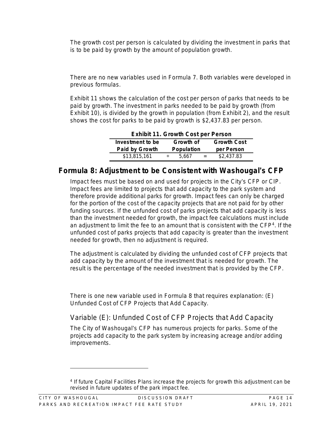The growth cost per person is calculated by dividing the investment in parks that is to be paid by growth by the amount of population growth.

There are no new variables used in Formula 7. Both variables were developed in previous formulas.

[Exhibit](#page-17-0) [11](#page-17-0) shows the calculation of the cost per person of parks that needs to be paid by growth. The investment in parks needed to be paid by growth (from Exhibit 10), is divided by the growth in population (from Exhibit 2), and the result shows the cost for parks to be paid by growth is \$2,437.83 per person.

<span id="page-17-0"></span>

| <b>Exhibit 11. Growth Cost per Person</b> |            |     |                    |
|-------------------------------------------|------------|-----|--------------------|
| Investment to be                          | Growth of  |     | <b>Growth Cost</b> |
| Paid by Growth                            | Population |     | per Person         |
| \$13,815,161                              | 5.667      | $=$ | \$2,437.83         |

# **Formula 8: Adjustment to be Consistent with Washougal**'**s CFP**

Impact fees must be based on and used for projects in the City's CFP or CIP. Impact fees are limited to projects that add capacity to the park system and therefore provide additional parks for growth. Impact fees can only be charged for the portion of the cost of the capacity projects that are not paid for by other funding sources. If the unfunded cost of parks projects that add capacity is less than the investment needed for growth, the impact fee calculations must include an adjustment to limit the fee to an amount that is consistent with the CFP<sup>4</sup> . If the unfunded cost of parks projects that add capacity is greater than the investment needed for growth, then no adjustment is required.

The adjustment is calculated by dividing the unfunded cost of CFP projects that add capacity by the amount of the investment that is needed for growth. The result is the percentage of the needed investment that is provided by the CFP.

There is one new variable used in Formula 8 that requires explanation: (E) Unfunded Cost of CFP Projects that Add Capacity.

Variable (E): Unfunded Cost of CFP Projects that Add Capacity

The City of Washougal's CFP has numerous projects for parks. Some of the projects add capacity to the park system by increasing acreage and/or adding improvements.

<sup>4</sup> If future Capital Facilities Plans increase the projects for growth this adjustment can be revised in future updates of the park impact fee.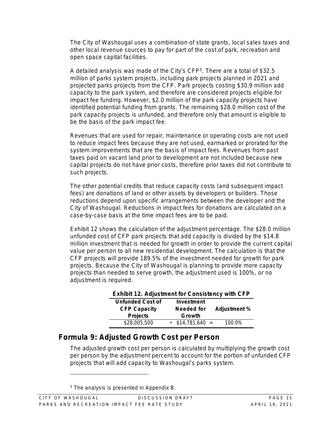The City of Washougal uses a combination of state grants, local sales taxes and other local revenue sources to pay for part of the cost of park, recreation and open space capital facilities.

A detailed analysis was made of the City's CFP<sup>5</sup>. There are a total of \$32.5 million of parks system projects, including park projects planned in 2021 and projected parks projects from the CFP. Park projects costing \$30.9 million add capacity to the park system, and therefore are considered projects eligible for impact fee funding. However, \$2.0 million of the park capacity projects have identified potential funding from grants. The remaining \$28.0 million cost of the park capacity projects is unfunded, and therefore only that amount is eligible to be the basis of the park impact fee.

Revenues that are used for repair, maintenance or operating costs are not used to reduce impact fees because they are not used, earmarked or prorated for the system improvements that are the basis of impact fees. Revenues from past taxes paid on vacant land prior to development are not included because new capital projects do not have prior costs, therefore prior taxes did not contribute to such projects.

The other potential credits that reduce capacity costs (and subsequent impact fees) are donations of land or other assets by developers or builders. Those reductions depend upon specific arrangements between the developer and the City of Washougal. Reductions in impact fees for donations are calculated on a case-by-case basis at the time impact fees are to be paid.

[Exhibit](#page-18-0) [12](#page-18-0) shows the calculation of the adjustment percentage. The \$28.0 million unfunded cost of CFP park projects that add capacity is divided by the \$14.8 million investment that is needed for growth in order to provide the current capital value per person to all new residential development. The calculation is that the CFP projects will provide 189.5% of the investment needed for growth for park projects. Because the City of Washougal is planning to provide more capacity projects than needed to serve growth, the adjustment used is 100%, or no adjustment is required.

<span id="page-18-0"></span>

| <b>Exhibit 12. Adjustment for Consistency with CFP</b> |                       |                     |  |  |  |  |  |  |  |
|--------------------------------------------------------|-----------------------|---------------------|--|--|--|--|--|--|--|
| <b>Unfunded Cost of</b>                                | Investment            |                     |  |  |  |  |  |  |  |
| <b>CFP Capacity</b>                                    | Needed for            | <b>Adjustment %</b> |  |  |  |  |  |  |  |
| <b>Projects</b>                                        | Growth                |                     |  |  |  |  |  |  |  |
| \$28,005,500                                           | $\div$ \$14,781,640 = | $100.0\%$           |  |  |  |  |  |  |  |

### **Formula 9: Adjusted Growth Cost per Person**

The adjusted growth cost per person is calculated by multiplying the growth cost per person by the adjustment percent to account for the portion of unfunded CFP projects that will add capacity to Washougal's parks system.

<sup>&</sup>lt;sup>5</sup> The analysis is presented in Appendix B.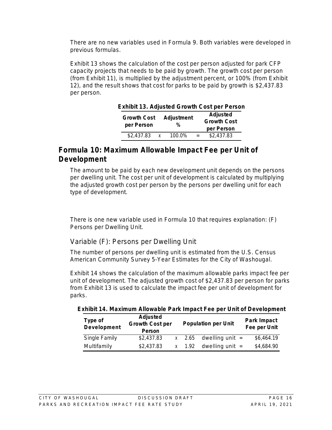There are no new variables used in Formula 9. Both variables were developed in previous formulas.

Exhibit 13 shows the calculation of the cost per person adjusted for park CFP capacity projects that needs to be paid by growth. The growth cost per person (from Exhibit 11), is multiplied by the adjustment percent, or 100% (from Exhibit 12), and the result shows that cost for parks to be paid by growth is \$2,437.83 per person.

|                                  |   |                 |     | <b>Exhibit 13. Adjusted Growth Cost per Person</b> |
|----------------------------------|---|-----------------|-----|----------------------------------------------------|
| <b>Growth Cost</b><br>per Person |   | Adjustment<br>℅ |     | Adjusted<br><b>Growth Cost</b><br>per Person       |
| \$2.437.83                       | X | 100.0%          | $=$ | \$2.437.83                                         |

### **Formula 10: Maximum Allowable Impact Fee per Unit of Development**

The amount to be paid by each new development unit depends on the persons per dwelling unit. The cost per unit of development is calculated by multiplying the adjusted growth cost per person by the persons per dwelling unit for each type of development.

There is one new variable used in Formula 10 that requires explanation: (F) Persons per Dwelling Unit.

#### Variable (F): Persons per Dwelling Unit

The number of persons per dwelling unit is estimated from the U.S. Census American Community Survey 5-Year Estimates for the City of Washougal.

[Exhibit](#page-19-0) [14](#page-19-0) shows the calculation of the maximum allowable parks impact fee per unit of development. The adjusted growth cost of \$2,437.83 per person for parks from Exhibit 13 is used to calculate the impact fee per unit of development for parks.

#### <span id="page-19-0"></span>**Exhibit 14. Maximum Allowable Park Impact Fee per Unit of Development**

| Type of<br>Development | Adjusted<br><b>Growth Cost per</b><br>Person |        | <b>Population per Unit</b> | Park Impact<br>Fee per Unit |  |  |
|------------------------|----------------------------------------------|--------|----------------------------|-----------------------------|--|--|
| Single Family          | \$2,437.83                                   | x 2.65 | dwelling unit $=$          | \$6,464.19                  |  |  |
| Multifamily            | \$2,437.83                                   | 1.92   | dwelling unit $=$          | \$4,684.90                  |  |  |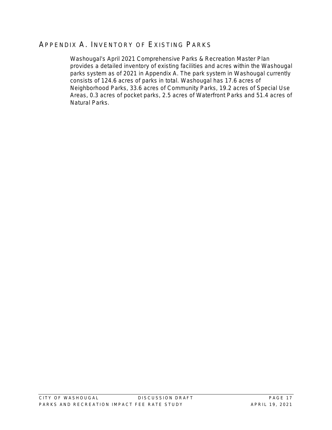# <span id="page-20-0"></span>APPENDIX A. INVENTORY OF EXISTING PARKS

Washougal's April 2021 Comprehensive Parks & Recreation Master Plan provides a detailed inventory of existing facilities and acres within the Washougal parks system as of 2021 in Appendix A. The park system in Washougal currently consists of 124.6 acres of parks in total. Washougal has 17.6 acres of Neighborhood Parks, 33.6 acres of Community Parks, 19.2 acres of Special Use Areas, 0.3 acres of pocket parks, 2.5 acres of Waterfront Parks and 51.4 acres of Natural Parks.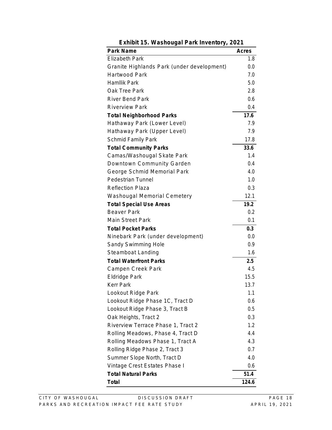<span id="page-21-0"></span>

| <b>Park Name</b>                           | Acres   |
|--------------------------------------------|---------|
| <b>Elizabeth Park</b>                      | 1.8     |
| Granite Highlands Park (under development) | 0.0     |
| Hartwood Park                              | 7.0     |
| Hamllik Park                               | 5.0     |
| Oak Tree Park                              | 2.8     |
| <b>River Bend Park</b>                     | 0.6     |
| <b>Riverview Park</b>                      | 0.4     |
| <b>Total Neighborhood Parks</b>            | 17.6    |
| Hathaway Park (Lower Level)                | 7.9     |
| Hathaway Park (Upper Level)                | 7.9     |
| Schmid Family Park                         | 17.8    |
| <b>Total Community Parks</b>               | 33.6    |
| Camas/Washougal Skate Park                 | 1.4     |
| Downtown Community Garden                  | 0.4     |
| George Schmid Memorial Park                | 4.0     |
| <b>Pedestrian Tunnel</b>                   | 1.0     |
| <b>Reflection Plaza</b>                    | 0.3     |
| Washougal Memorial Cemetery                | 12.1    |
| <b>Total Special Use Areas</b>             | 19.2    |
| <b>Beaver Park</b>                         | 0.2     |
| Main Street Park                           | 0.1     |
| <b>Total Pocket Parks</b>                  | 0.3     |
| Ninebark Park (under development)          | 0.0     |
| Sandy Swimming Hole                        | 0.9     |
| Steamboat Landing                          | 1.6     |
| <b>Total Waterfront Parks</b>              | $2.5\,$ |
| Campen Creek Park                          | 4.5     |
| <b>Eldridge Park</b>                       | 15.5    |
| <b>Kerr Park</b>                           | 13.7    |
| Lookout Ridge Park                         | 1.1     |
| Lookout Ridge Phase 1C, Tract D            | 0.6     |
| Lookout Ridge Phase 3, Tract B             | 0.5     |
| Oak Heights, Tract 2                       | 0.3     |
| Riverview Terrace Phase 1, Tract 2         | 1.2     |
| Rolling Meadows, Phase 4, Tract D          | 4.4     |
| Rolling Meadows Phase 1, Tract A           | 4.3     |
| Rolling Ridge Phase 2, Tract 3             | 0.7     |
| Summer Slope North, Tract D                | 4.0     |
| Vintage Crest Estates Phase I              | 0.6     |
| <b>Total Natural Parks</b>                 | 51.4    |
| <b>Total</b>                               | 124.6   |

**Exhibit 15. Washougal Park Inventory, 2021**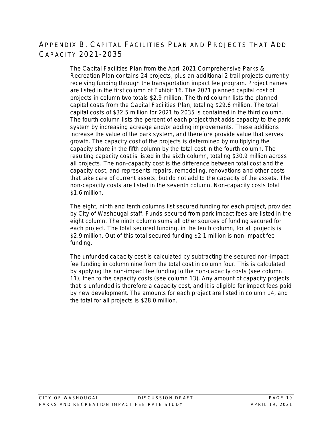# APPENDIX B. CAPITAL FACILITIES PLAN AND PROJECTS THAT ADD CAPACITY 2021-2035

The Capital Facilities Plan from the April 2021 Comprehensive Parks & Recreation Plan contains 24 projects, plus an additional 2 trail projects currently receiving funding through the transportation impact fee program. Project names are listed in the first column of [Exhibit](#page-23-0) [16](#page-23-0). The 2021 planned capital cost of projects in column two totals \$2.9 million. The third column lists the planned capital costs from the Capital Facilities Plan, totaling \$29.6 million. The total capital costs of \$32.5 million for 2021 to 2035 is contained in the third column. The fourth column lists the percent of each project that adds capacity to the park system by increasing acreage and/or adding improvements. These additions increase the value of the park system, and therefore provide value that serves growth. The capacity cost of the projects is determined by multiplying the capacity share in the fifth column by the total cost in the fourth column. The resulting capacity cost is listed in the sixth column, totaling \$30.9 million across all projects. The non-capacity cost is the difference between total cost and the capacity cost, and represents repairs, remodeling, renovations and other costs that take care of current assets, but do not add to the capacity of the assets. The non-capacity costs are listed in the seventh column. Non-capacity costs total \$1.6 million.

The eight, ninth and tenth columns list secured funding for each project, provided by City of Washougal staff. Funds secured from park impact fees are listed in the eight column. The ninth column sums all other sources of funding secured for each project. The total secured funding, in the tenth column, for all projects is \$2.9 million. Out of this total secured funding \$2.1 million is non-impact fee funding.

The unfunded capacity cost is calculated by subtracting the secured non-impact fee funding in column nine from the total cost in column four. This is calculated by applying the non-impact fee funding to the non-capacity costs (see column 11), then to the capacity costs (see column 13). Any amount of capacity projects that is unfunded is therefore a capacity cost, and it is eligible for impact fees paid by new development. The amounts for each project are listed in column 14, and the total for all projects is \$28.0 million.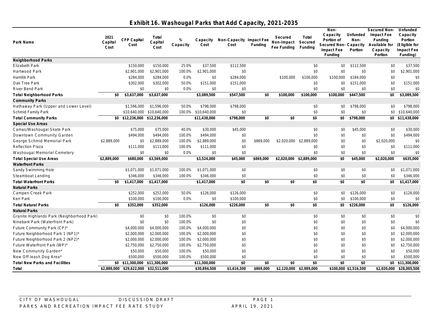<span id="page-23-0"></span>

|  |  |  |  |  | Exhibit 16. Washougal Parks that Add Capacity, 2021-2035 |
|--|--|--|--|--|----------------------------------------------------------|
|--|--|--|--|--|----------------------------------------------------------|

| Park Name                                                   | 2021<br>Capital<br>Cost | <b>CFP Capital</b><br>Cost            | <b>Total</b><br>Capital<br>Cost | %<br>Capacity | Capacity<br>Cost                 | Non-Capacity Impact Fee<br>Cost | Funding   | Secured<br>Non-Impact<br>Fee Funding | Total<br>Secured<br>Funding | Non-<br>Capacity<br>Portion of<br>Secured Non- Capacity<br><b>Impact Fee</b><br>Funding | Unfunded<br>Non-<br>Portion | <b>Secured Non-</b><br><b>Impact Fee</b><br>Funding<br>Available for<br>Capacity<br>Portion | Unfunded<br>Capacity<br>Portion<br>(Eligible for<br><b>Impact Fee</b><br>Funding) |
|-------------------------------------------------------------|-------------------------|---------------------------------------|---------------------------------|---------------|----------------------------------|---------------------------------|-----------|--------------------------------------|-----------------------------|-----------------------------------------------------------------------------------------|-----------------------------|---------------------------------------------------------------------------------------------|-----------------------------------------------------------------------------------|
| <b>Neighborhood Parks</b>                                   |                         |                                       |                                 |               |                                  |                                 |           |                                      |                             |                                                                                         |                             |                                                                                             |                                                                                   |
| Elizabeth Park                                              |                         | \$150,000                             | \$150,000                       | 25.0%         | \$37,500                         | \$112,500                       |           |                                      | \$0                         | \$0                                                                                     | \$112,500                   | \$0                                                                                         | \$37,500                                                                          |
| Hartwood Park                                               |                         | \$2,901,000                           | \$2,901,000                     | 100.0%        | \$2,901,000                      | \$0                             |           |                                      | \$0                         | \$0                                                                                     | \$0                         | \$0                                                                                         | \$2,901,000                                                                       |
| Hamllik Park                                                |                         | \$284,000                             | \$284,000                       | 0.0%          | \$0                              | \$284,000                       |           | \$100,000                            | \$100,000                   | \$100,000                                                                               | \$184,000                   | \$0                                                                                         | \$0                                                                               |
| Oak Tree Park                                               |                         | \$302,000                             | \$302,000                       | 50.0%         | \$151,000                        | \$151,000                       |           |                                      | \$0                         | \$0                                                                                     | \$151,000                   | \$0                                                                                         | \$151,000                                                                         |
| <b>River Bend Park</b>                                      |                         | \$0                                   | \$0                             | 0.0%          | \$0                              | \$0                             |           |                                      | \$0                         | \$0                                                                                     | \$0                         | \$0                                                                                         | \$0                                                                               |
| <b>Total Neighborhood Parks</b>                             | \$0                     | \$3,637,000                           | $\frac{1}{1}$ \$3,637,000       |               | \$3,089,500                      | \$547,500                       | \$0       | \$100,000                            | \$100,000                   | \$100,000                                                                               | \$447,500                   | \$0                                                                                         | \$3,089,500                                                                       |
| <b>Community Parks</b>                                      |                         |                                       |                                 |               |                                  |                                 |           |                                      |                             |                                                                                         |                             |                                                                                             |                                                                                   |
| Hathaway Park (Upper and Lower Level)<br>Schmid Family Park |                         | \$1,596,000<br>\$10,640,000           | \$1,596,000<br>\$10,640,000     | 50.0%         | \$798,000<br>100.0% \$10,640,000 | \$798,000<br>\$0                |           |                                      | \$0<br>\$0                  | \$0<br>\$0                                                                              | \$798,000<br>\$0            | \$0<br>\$0                                                                                  | \$798,000<br>\$10,640,000                                                         |
|                                                             |                         |                                       |                                 |               |                                  |                                 |           | \$0                                  |                             |                                                                                         |                             |                                                                                             |                                                                                   |
| <b>Total Community Parks</b>                                |                         | \$0 \$12,236,000 \$12,236,000         |                                 |               | \$11,438,000                     | \$798,000                       | \$0       |                                      | \$0                         | \$0                                                                                     | \$798,000                   |                                                                                             | \$0 \$11,438,000                                                                  |
| <b>Special Use Areas</b><br>Camas/Washougal Skate Park      |                         | \$75,000                              | \$75,000                        | 40.0%         | \$30,000                         | \$45,000                        |           |                                      | \$0                         | \$0                                                                                     | \$45,000                    | \$0                                                                                         | \$30,000                                                                          |
| Downtown Community Garden                                   |                         | \$494,000                             | \$494,000                       | 100.0%        | \$494,000                        | \$0                             |           |                                      | \$0                         | \$0                                                                                     | \$0                         | \$0                                                                                         | \$494,000                                                                         |
| George Schmid Memorial Park                                 | \$2,889,000             | \$0                                   | \$2,889,000                     | 100.0%        | \$2,889,000                      | \$0                             | \$869,000 | \$2,020,000                          | \$2,889,000                 | \$0                                                                                     | \$0                         | \$2,020,000                                                                                 | \$0                                                                               |
| Reflection Plaza                                            |                         | \$111,000                             | \$111,000                       | 100.0%        | \$111,000                        | \$0                             |           |                                      | \$0                         | \$0                                                                                     | \$0                         | \$0                                                                                         | \$111,000                                                                         |
| Washougal Memorial Cemetery                                 |                         | \$0                                   | \$0                             | 0.0%          | \$0                              | \$0                             |           |                                      | \$0                         | \$0                                                                                     | \$0                         | \$0                                                                                         | \$0                                                                               |
| <b>Total Special Use Areas</b>                              | \$2,889,000             | \$680,000                             | \$3,569,000                     |               | \$3,524,000                      | \$45,000                        | \$869,000 | \$2,020,000 \$2,889,000              |                             | \$0                                                                                     | \$45,000                    | \$2,020,000                                                                                 | \$635,000                                                                         |
| <b>Waterfront Parks</b>                                     |                         |                                       |                                 |               |                                  |                                 |           |                                      |                             |                                                                                         |                             |                                                                                             |                                                                                   |
| Sandy Swimming Hole                                         |                         | \$1,071,000                           | \$1,071,000                     | 100.0%        | \$1,071,000                      | \$0                             |           |                                      | \$0                         | \$0                                                                                     | \$0                         | \$0                                                                                         | \$1,071,000                                                                       |
| Steamboat Landing                                           |                         | \$346,000                             | \$346,000                       | 100.0%        | \$346,000                        | \$0                             |           |                                      | \$0                         | \$0                                                                                     | \$0                         | \$0                                                                                         | \$346,000                                                                         |
| <b>Total Waterfront Parks</b>                               | \$0                     | \$1,417,000                           | \$1,417,000                     |               | \$1,417,000                      | $\overline{50}$                 | \$0       | \$0                                  | \$0                         | \$0                                                                                     | \$0                         | \$0                                                                                         | \$1,417,000                                                                       |
| <b>Natural Parks</b>                                        |                         |                                       |                                 |               |                                  |                                 |           |                                      |                             |                                                                                         |                             |                                                                                             |                                                                                   |
| Campen Creek Park                                           |                         | \$252,000                             | \$252,000                       | 50.0%         | \$126,000                        | \$126,000                       |           |                                      | \$0                         | \$0                                                                                     | \$126,000                   | \$0                                                                                         | \$126,000                                                                         |
| Kerr Park                                                   |                         | \$100,000                             | \$100,000                       | 0.0%          | \$0                              | \$100,000                       |           |                                      | \$0                         | \$0                                                                                     | \$100,000                   | \$0                                                                                         | \$0                                                                               |
| <b>Total Natural Parks</b>                                  | \$0                     | \$352,000                             | \$352,000                       |               | \$126,000                        | \$226,000                       | \$0       | \$0                                  | \$0                         | \$0                                                                                     | \$226,000                   | \$0                                                                                         | \$126,000                                                                         |
| <b>Natural Parks</b>                                        |                         |                                       |                                 |               |                                  |                                 |           |                                      |                             |                                                                                         |                             |                                                                                             |                                                                                   |
| Granite Highlands Park (Neighborhood Park)                  |                         | \$0                                   | \$0                             | 100.0%        | \$0                              | \$0                             |           |                                      | \$0                         | \$0                                                                                     | \$0                         | \$0                                                                                         | \$0                                                                               |
| Ninebark Park (Waterfront Park)                             |                         | \$0                                   | \$0                             | 100.0%        | \$0                              | \$0                             |           |                                      | \$0                         | \$0                                                                                     | \$0                         | \$0                                                                                         | \$0                                                                               |
| Future Community Park (CP)*                                 |                         | \$4,000,000                           | \$4,000,000                     | 100.0%        | \$4,000,000                      | \$0                             |           |                                      | \$0                         | \$0                                                                                     | \$0                         | \$0                                                                                         | \$4,000,000                                                                       |
| Future Neighborhood Park 1 (NP1)*                           |                         | \$2,000,000                           | \$2,000,000                     | 100.0%        | \$2,000,000                      | \$0                             |           |                                      | \$0                         | \$0                                                                                     | \$0                         | \$0                                                                                         | \$2,000,000                                                                       |
| Future Neighborhood Park 2 (NP2)*                           |                         | \$2,000,000                           | \$2,000,000                     | 100.0%        | \$2,000,000                      | \$0                             |           |                                      | \$0                         | \$0                                                                                     | \$0                         | \$0                                                                                         | \$2,000,000                                                                       |
| Future Waterfront Park (WP)*                                |                         | \$2,750,000                           | \$2,750,000                     | 100.0%        | \$2,750,000                      | \$0                             |           |                                      | \$0                         | \$0                                                                                     | \$0                         | \$0                                                                                         | \$2,750,000                                                                       |
| New Community Garden*                                       |                         | \$50,000                              | \$50,000                        | 100.0%        | \$50,000                         | \$0                             |           |                                      | \$0                         | \$0                                                                                     | \$0                         | \$0                                                                                         | \$50,000                                                                          |
| New Off-leash Dog Area*                                     |                         | \$500,000                             | \$500,000                       | 100.0%        | \$500,000                        | \$0                             |           |                                      | \$0                         | \$0                                                                                     | \$0                         | \$0                                                                                         | \$500,000                                                                         |
| <b>Total New Parks and Facilities</b>                       |                         | \$0 \$11,300,000                      | \$11,300,000                    |               | \$11,300,000                     | \$0                             | \$0       | \$0                                  | \$0                         | \$0                                                                                     | \$0                         | \$0                                                                                         | \$11,300,000                                                                      |
| <b>Total</b>                                                |                         | \$2,889,000 \$29,622,000 \$32,511,000 |                                 |               | \$30,894,500                     | \$1,616,500                     | \$869,000 |                                      | \$2,120,000 \$2,989,000     |                                                                                         | \$100,000 \$1,516,500       | \$2,020,000                                                                                 | \$28,005,500                                                                      |